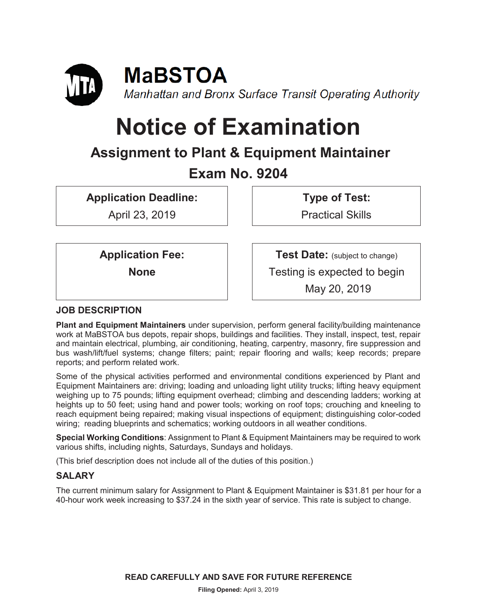

# **Notice of Examination**

# **Assignment to Plant & Equipment Maintainer Exam No. 9204**

**Application Deadline:** 

April 23, 2019

**Type of Test:**  Practical Skills

**Application Fee:** 

**None** 

**Test Date:** (subject to change) Testing is expected to begin May 20, 2019

# **JOB DESCRIPTION**

**Plant and Equipment Maintainers** under supervision, perform general facility/building maintenance work at MaBSTOA bus depots, repair shops, buildings and facilities. They install, inspect, test, repair and maintain electrical, plumbing, air conditioning, heating, carpentry, masonry, fire suppression and bus wash/lift/fuel systems; change filters; paint; repair flooring and walls; keep records; prepare reports; and perform related work.

Some of the physical activities performed and environmental conditions experienced by Plant and Equipment Maintainers are: driving; loading and unloading light utility trucks; lifting heavy equipment weighing up to 75 pounds; lifting equipment overhead; climbing and descending ladders; working at heights up to 50 feet; using hand and power tools; working on roof tops; crouching and kneeling to reach equipment being repaired; making visual inspections of equipment; distinguishing color-coded wiring; reading blueprints and schematics; working outdoors in all weather conditions.

**Special Working Conditions**: Assignment to Plant & Equipment Maintainers may be required to work various shifts, including nights, Saturdays, Sundays and holidays.

(This brief description does not include all of the duties of this position.)

# **SALARY**

The current minimum salary for Assignment to Plant & Equipment Maintainer is \$31.81 per hour for a 40-hour work week increasing to \$37.24 in the sixth year of service. This rate is subject to change.

**READ CAREFULLY AND SAVE FOR FUTURE REFERENCE**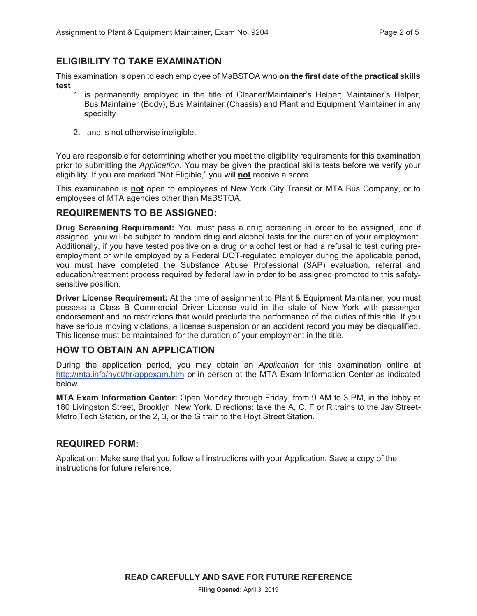# **ELIGIBILITY TO TAKE EXAMINATION**

This examination is open to each employee of MaBSTOA who **on the first date of the practical skills test** 

- 1. is permanently employed in the title of Cleaner/Maintainer's Helper; Maintainer's Helper, Bus Maintainer (Body), Bus Maintainer (Chassis) and Plant and Equipment Maintainer in any specialty
- 2. and is not otherwise ineligible.

You are responsible for determining whether you meet the eligibility requirements for this examination prior to submitting the *Application*. You may be given the practical skills tests before we verify your eligibility. If you are marked "Not Eligible," you will **not** receive a score.

This examination is **not** open to employees of New York City Transit or MTA Bus Company, or to employees of MTA agencies other than MaBSTOA.

#### **REQUIREMENTS TO BE ASSIGNED:**

**Drug Screening Requirement:** You must pass a drug screening in order to be assigned, and if assigned, you will be subject to random drug and alcohol tests for the duration of your employment. Additionally, if you have tested positive on a drug or alcohol test or had a refusal to test during preemployment or while employed by a Federal DOT-regulated employer during the applicable period, you must have completed the Substance Abuse Professional (SAP) evaluation, referral and education/treatment process required by federal law in order to be assigned promoted to this safetysensitive position.

**Driver License Requirement:** At the time of assignment to Plant & Equipment Maintainer, you must possess a Class B Commercial Driver License valid in the state of New York with passenger endorsement and no restrictions that would preclude the performance of the duties of this title. If you have serious moving violations, a license suspension or an accident record you may be disqualified. This license must be maintained for the duration of your employment in the title.

#### **HOW TO OBTAIN AN APPLICATION**

During the application period, you may obtain an *Application* for this examination online at http://mta.info/nyct/hr/appexam.htm or in person at the MTA Exam Information Center as indicated below.

**MTA Exam Information Center:** Open Monday through Friday, from 9 AM to 3 PM, in the lobby at 180 Livingston Street, Brooklyn, New York. Directions: take the A, C, F or R trains to the Jay Street-Metro Tech Station, or the 2, 3, or the G train to the Hoyt Street Station.

#### **REQUIRED FORM:**

Application: Make sure that you follow all instructions with your Application. Save a copy of the instructions for future reference.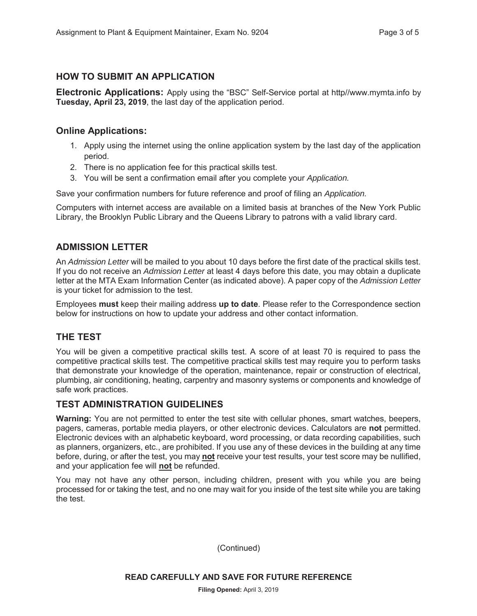## **HOW TO SUBMIT AN APPLICATION**

**Electronic Applications:** Apply using the "BSC" Self-Service portal at http//www.mymta.info by **Tuesday, April 23, 2019**, the last day of the application period.

#### **Online Applications:**

- 1. Apply using the internet using the online application system by the last day of the application period.
- 2. There is no application fee for this practical skills test.
- 3. You will be sent a confirmation email after you complete your *Application.*

Save your confirmation numbers for future reference and proof of filing an *Application.*

Computers with internet access are available on a limited basis at branches of the New York Public Library, the Brooklyn Public Library and the Queens Library to patrons with a valid library card.

## **ADMISSION LETTER**

An *Admission Letter* will be mailed to you about 10 days before the first date of the practical skills test. If you do not receive an *Admission Letter* at least 4 days before this date, you may obtain a duplicate letter at the MTA Exam Information Center (as indicated above). A paper copy of the *Admission Letter* is your ticket for admission to the test.

Employees **must** keep their mailing address **up to date**. Please refer to the Correspondence section below for instructions on how to update your address and other contact information.

#### **THE TEST**

You will be given a competitive practical skills test. A score of at least 70 is required to pass the competitive practical skills test. The competitive practical skills test may require you to perform tasks that demonstrate your knowledge of the operation, maintenance, repair or construction of electrical, plumbing, air conditioning, heating, carpentry and masonry systems or components and knowledge of safe work practices.

#### **TEST ADMINISTRATION GUIDELINES**

**Warning:** You are not permitted to enter the test site with cellular phones, smart watches, beepers, pagers, cameras, portable media players, or other electronic devices. Calculators are **not** permitted. Electronic devices with an alphabetic keyboard, word processing, or data recording capabilities, such as planners, organizers, etc., are prohibited. If you use any of these devices in the building at any time before, during, or after the test, you may **not** receive your test results, your test score may be nullified, and your application fee will **not** be refunded.

You may not have any other person, including children, present with you while you are being processed for or taking the test, and no one may wait for you inside of the test site while you are taking the test.

(Continued)

**READ CAREFULLY AND SAVE FOR FUTURE REFERENCE**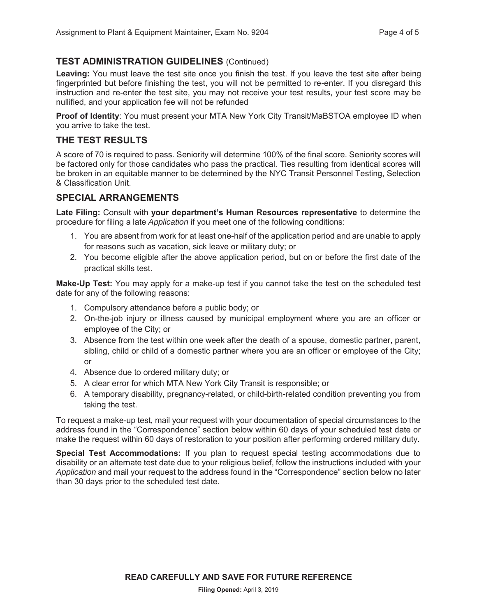# **TEST ADMINISTRATION GUIDELINES** (Continued)

**Leaving:** You must leave the test site once you finish the test. If you leave the test site after being fingerprinted but before finishing the test, you will not be permitted to re-enter. If you disregard this instruction and re-enter the test site, you may not receive your test results, your test score may be nullified, and your application fee will not be refunded

**Proof of Identity**: You must present your MTA New York City Transit/MaBSTOA employee ID when you arrive to take the test.

# **THE TEST RESULTS**

A score of 70 is required to pass. Seniority will determine 100% of the final score. Seniority scores will be factored only for those candidates who pass the practical. Ties resulting from identical scores will be broken in an equitable manner to be determined by the NYC Transit Personnel Testing, Selection & Classification Unit.

## **SPECIAL ARRANGEMENTS**

**Late Filing:** Consult with **your department's Human Resources representative** to determine the procedure for filing a late *Application* if you meet one of the following conditions:

- 1. You are absent from work for at least one-half of the application period and are unable to apply for reasons such as vacation, sick leave or military duty; or
- 2. You become eligible after the above application period, but on or before the first date of the practical skills test.

**Make-Up Test:** You may apply for a make-up test if you cannot take the test on the scheduled test date for any of the following reasons:

- 1. Compulsory attendance before a public body; or
- 2. On-the-job injury or illness caused by municipal employment where you are an officer or employee of the City; or
- 3. Absence from the test within one week after the death of a spouse, domestic partner, parent, sibling, child or child of a domestic partner where you are an officer or employee of the City; or
- 4. Absence due to ordered military duty; or
- 5. A clear error for which MTA New York City Transit is responsible; or
- 6. A temporary disability, pregnancy-related, or child-birth-related condition preventing you from taking the test.

To request a make-up test, mail your request with your documentation of special circumstances to the address found in the "Correspondence" section below within 60 days of your scheduled test date or make the request within 60 days of restoration to your position after performing ordered military duty.

**Special Test Accommodations:** If you plan to request special testing accommodations due to disability or an alternate test date due to your religious belief, follow the instructions included with your *Application* and mail your request to the address found in the "Correspondence" section below no later than 30 days prior to the scheduled test date.

**READ CAREFULLY AND SAVE FOR FUTURE REFERENCE**